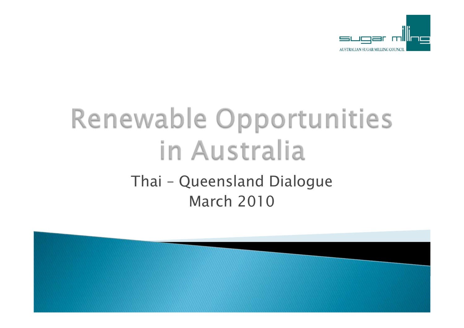

### Renewable Opportunities in Australia Thai – Queensland Dialogue March 2010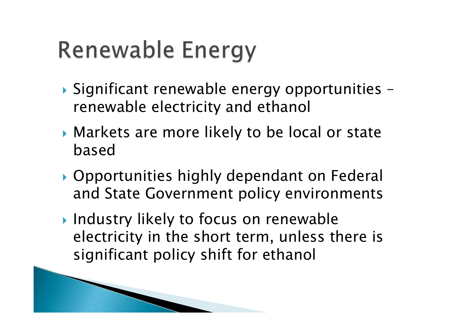### Renewable Energy

- ` Significant renewable energy opportunities renewable electricity and ethanol
- $\blacktriangleright$  Markets are more likely to be local or state based
- $\blacktriangleright$  Opportunities highly dependant on Federal and State Government policy environments
- $\blacktriangleright$  Industry likely to focus on renewable electricity in the short term, unless there is significant policy shift for ethanol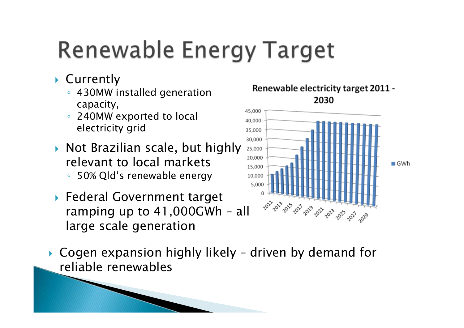### **Renewable Energy Target**

- $\blacktriangleright$  Currently
	- 430MW installed generation capacity,
	- $\circ$  240MW exported to local electricity grid
- $\blacktriangleright$  Not Brazilian scale, but highly relevant to local markets ◦ 50% Qld's renewable energy
- **Federal Government target** ramping up to 41,000GWh – all large scale generation
- $\blacktriangleright$  Cogen expansion highly likely driven by demand for reliable renewables



Renewable electricity target 2011 -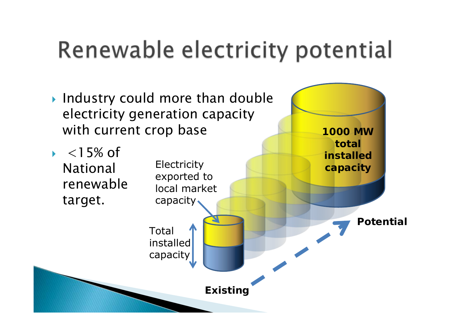### Renewable electricity potential

- $\blacktriangleright$  Industry could more than double electricity generation capacity with current crop base
- $\blacktriangleright$  $<$  15% of National renewable target.

Total installed capacity **Electricity** exported to local market capacity **Existing Potential 1000 MW total installed capacity**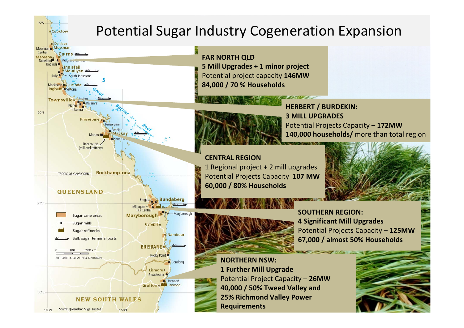**Cooktow** 

 $15°S$ 

### Potential Sugar Industry Cogeneration Expansion

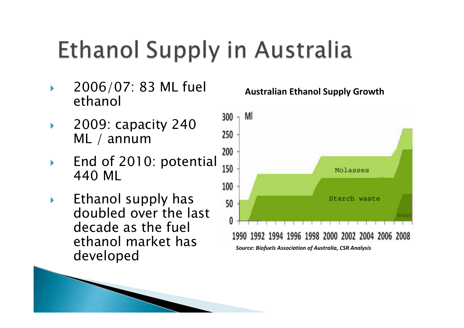## Ethanol Supply in Australia

- $\blacktriangleright$  2006/07: 83 ML fuel ethanol
- $\blacktriangleright$  2009: capacity 240 ML / annum
- $\blacktriangleright$ End of 2010: potential  $\frac{200}{150}$ 440 ML
- $\blacktriangleright$  Ethanol supply has doubled over the last decade as the fuel ethanol market has developed

#### **Australian Ethanol Supply Growth**

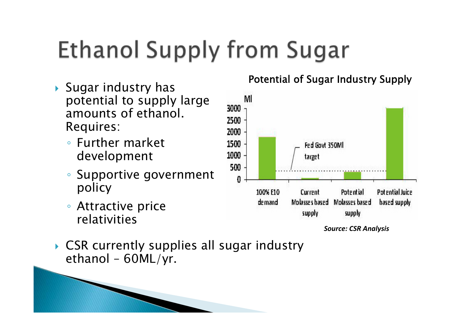# **Ethanol Supply from Sugar**

- $\blacktriangleright$  Sugar industry has potential to supply large amounts of ethanol.Requires:
	- Further market development
	- $\bullet$  Supportive government policy
	- Attractive price relativities

#### Potential of Sugar Industry Supply



*Source: CSR Analysis*

 $\blacktriangleright$  CSR currently supplies all sugar industry ethanol – 60ML/yr.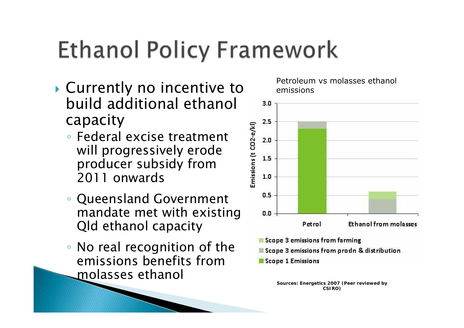### **Ethanol Policy Framework**

- $\blacktriangleright$  Currently no incentive to build additional ethanol capacity
	- Federal excise treatment will progressively erode producer subsidy from 2011 onwards
	- Queensland Government mandate met with existing Qld ethanol capacity
	- No real recognition of the emissions benefits from molasses ethanol

Petroleum vs molasses ethanol emissions



- Scope 3 emissions from farming
- Scope 3 emissions from prodn & distribution
- Scope 1 Emissions

**Sources: Energetics 2007 (Peer reviewed by CSIRO)**